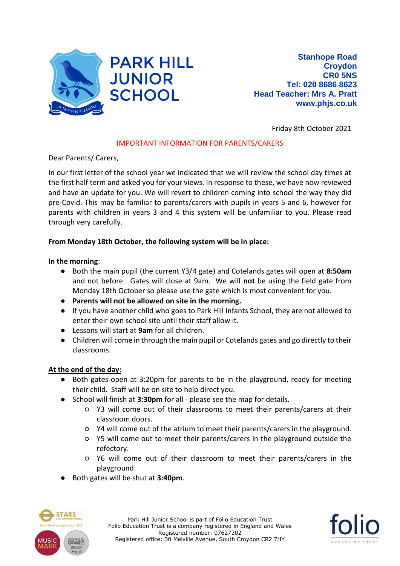

Friday 8th October 2021

## IMPORTANT INFORMATION FOR PARENTS/CARERS

Dear Parents/ Carers,

In our first letter of the school year we indicated that we will review the school day times at the first half term and asked you for your views. In response to these, we have now reviewed and have an update for you. We will revert to children coming into school the way they did pre-Covid. This may be familiar to parents/carers with pupils in years 5 and 6, however for parents with children in years 3 and 4 this system will be unfamiliar to you. Please read through very carefully.

## **From Monday 18th October, the following system will be in place:**

## **In the morning**:

- Both the main pupil (the current Y3/4 gate) and Cotelands gates will open at **8:50am** and not before. Gates will close at 9am. We will **not** be using the field gate from Monday 18th October so please use the gate which is most convenient for you.
- **Parents will not be allowed on site in the morning.**
- If you have another child who goes to Park Hill Infants School, they are not allowed to enter their own school site until their staff allow it.
- Lessons will start at **9am** for all children.
- Children will come in through the main pupil or Cotelands gates and go directly to their classrooms.

## **At the end of the day:**

- Both gates open at 3:20pm for parents to be in the playground, ready for meeting their child. Staff will be on site to help direct you.
- School will finish at **3:30pm** for all please see the map for details.
	- Y3 will come out of their classrooms to meet their parents/carers at their classroom doors.
	- Y4 will come out of the atrium to meet their parents/carers in the playground.
	- Y5 will come out to meet their parents/carers in the playground outside the refectory.
	- Y6 will come out of their classroom to meet their parents/carers in the playground.
- Both gates will be shut at **3:40pm**.